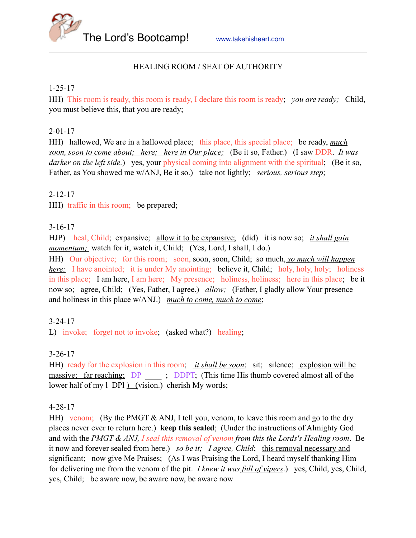The Lord's Bootcamp! [www.takehisheart.com](http://www.takehisheart.com)

### HEALING ROOM / SEAT OF AUTHORITY

#### 1-25-17

HH) This room is ready, this room is ready, I declare this room is ready; *you are ready;* Child, you must believe this, that you are ready;

#### 2-01-17

HH) hallowed, We are in a hallowed place; this place, this special place; be ready, *much soon, soon to come about; here; here in Our place;* (Be it so, Father.) (I saw DDR. *It was darker on the left side.*) yes, your physical coming into alignment with the spiritual; (Be it so, Father, as You showed me w/ANJ, Be it so.) take not lightly; *serious, serious step*;

### 2-12-17

HH) traffic in this room; be prepared;

### 3-16-17

HJP) heal, Child; expansive; allow it to be expansive; (did) it is now so; *it shall gain momentum;* watch for it, watch it, Child; (Yes, Lord, I shall, I do.)

HH) Our objective; for this room; soon, soon, soon, Child; so much, *so much will happen here*; I have anointed; it is under My anointing; believe it, Child; holy, holy, holy; holiness in this place; I am here, I am here; My presence; holiness, holiness; here in this place; be it now so; agree, Child; (Yes, Father, I agree.) *allow;* (Father, I gladly allow Your presence and holiness in this place w/ANJ.) *much to come, much to come*;

### 3-24-17

L) invoke; forget not to invoke; (asked what?) healing;

#### 3-26-17

HH) ready for the explosion in this room; *it shall be soon*; sit; silence; explosion will be massive; far reaching; DP ..., DDPT; (This time His thumb covered almost all of the lower half of my l DPl ) (vision.) cherish My words;

#### 4-28-17

HH) venom; (By the PMGT & ANJ, I tell you, venom, to leave this room and go to the dry places never ever to return here.) **keep this sealed**; (Under the instructions of Almighty God and with the *PMGT & ANJ, I seal this removal of venom from this the Lords's Healing room*. Be it now and forever sealed from here.) *so be it; I agree, Child*; this removal necessary and significant; now give Me Praises; (As I was Praising the Lord, I heard myself thanking Him for delivering me from the venom of the pit. *I knew it was full of vipers*.) yes, Child, yes, Child, yes, Child; be aware now, be aware now, be aware now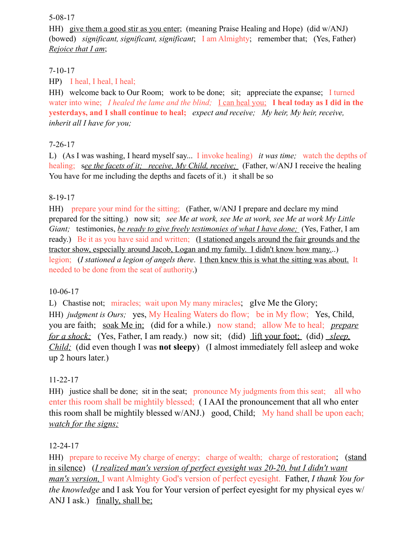#### 5-08-17

HH) give them a good stir as you enter; (meaning Praise Healing and Hope) (did w/ANJ) (bowed) *significant, significant, significant*; I am Almighty; remember that; (Yes, Father) *Rejoice that I am*;

### 7-10-17

HP) I heal, I heal, I heal;

HH) welcome back to Our Room; work to be done; sit; appreciate the expanse; I turned water into wine; *I healed the lame and the blind;* I can heal you; **I heal today as I did in the yesterdays, and I shall continue to heal;** *expect and receive; My heir, My heir, receive, inherit all I have for you;* 

# 7-26-17

L) (As I was washing, I heard myself say... I invoke healing) *it was time;* watch the depths of healing; s*ee the facets of it; receive, My Child, receive;* (Father, w/ANJ I receive the healing You have for me including the depths and facets of it.) it shall be so

# 8-19-17

HH) prepare your mind for the sitting; (Father, w/ANJ I prepare and declare my mind prepared for the sitting.) now sit; *see Me at work, see Me at work, see Me at work My Little Giant;* testimonies, *be ready to give freely testimonies of what I have done;* (Yes, Father, I am ready.) Be it as you have said and written; (I stationed angels around the fair grounds and the tractor show, especially around Jacob, Logan and my family. I didn't know how many...) legion; (*I stationed a legion of angels there*. I then knew this is what the sitting was about. It needed to be done from the seat of authority.)

# 10-06-17

L) Chastise not; miracles; wait upon My many miracles; gIve Me the Glory; HH) *judgment is Ours;* yes, My Healing Waters do flow; be in My flow; Yes, Child, you are faith; soak Me in; (did for a while.) now stand; allow Me to heal; *prepare for a shock;* (Yes, Father, I am ready.) now sit; (did) lift your foot; (did) *sleep*, *Child;* (did even though I was **not sleepy**) (I almost immediately fell asleep and woke up 2 hours later.)

# 11-22-17

HH) justice shall be done; sit in the seat; pronounce My judgments from this seat; all who enter this room shall be mightily blessed; ( I AAI the pronouncement that all who enter this room shall be mightily blessed w/ANJ.) good, Child; My hand shall be upon each; *watch for the signs;*

# 12-24-17

HH) prepare to receive My charge of energy; charge of wealth; charge of restoration; (stand in silence) (*I realized man's version of perfect eyesight was 20-20, but I didn't want man's version,* I want Almighty God's version of perfect eyesight. Father, *I thank You for the knowledge* and I ask You for Your version of perfect eyesight for my physical eyes w/ ANJ I ask.) finally, shall be;